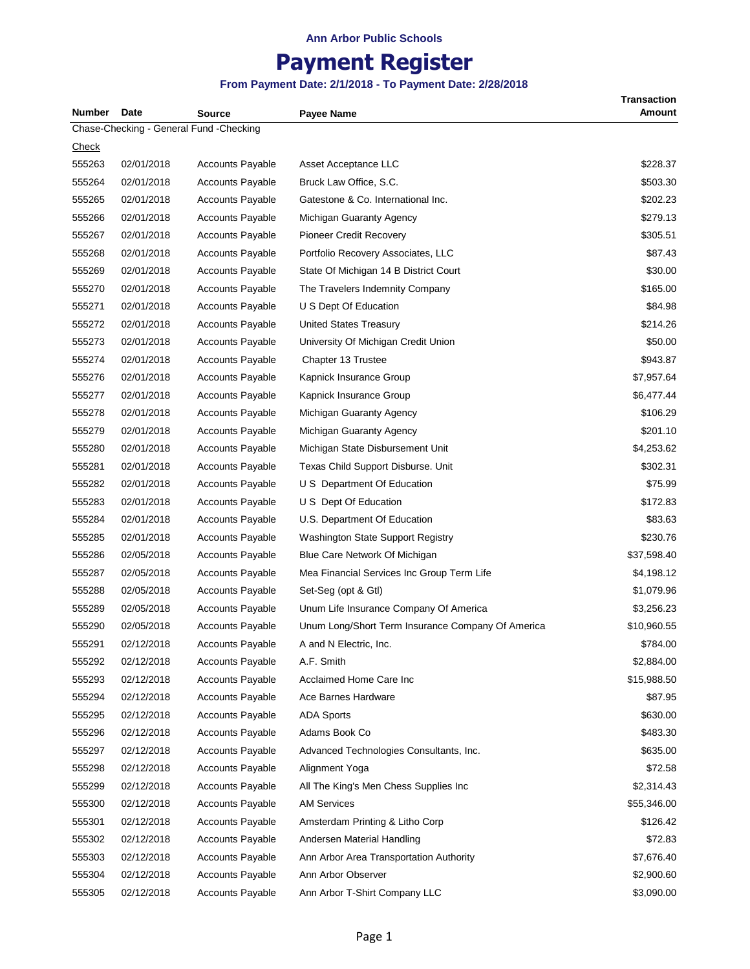# **Payment Register**

| <b>Number</b> | Date       | Source                                  | <b>Payee Name</b>                                 | <b>Transaction</b><br>Amount |
|---------------|------------|-----------------------------------------|---------------------------------------------------|------------------------------|
|               |            | Chase-Checking - General Fund -Checking |                                                   |                              |
| <u>Check</u>  |            |                                         |                                                   |                              |
| 555263        | 02/01/2018 | <b>Accounts Payable</b>                 | Asset Acceptance LLC                              | \$228.37                     |
| 555264        | 02/01/2018 | <b>Accounts Payable</b>                 | Bruck Law Office, S.C.                            | \$503.30                     |
| 555265        | 02/01/2018 | <b>Accounts Payable</b>                 | Gatestone & Co. International Inc.                | \$202.23                     |
| 555266        | 02/01/2018 | <b>Accounts Payable</b>                 | Michigan Guaranty Agency                          | \$279.13                     |
| 555267        | 02/01/2018 | <b>Accounts Payable</b>                 | Pioneer Credit Recovery                           | \$305.51                     |
| 555268        | 02/01/2018 | <b>Accounts Payable</b>                 | Portfolio Recovery Associates, LLC                | \$87.43                      |
| 555269        | 02/01/2018 | <b>Accounts Payable</b>                 | State Of Michigan 14 B District Court             | \$30.00                      |
| 555270        | 02/01/2018 | <b>Accounts Payable</b>                 | The Travelers Indemnity Company                   | \$165.00                     |
| 555271        | 02/01/2018 | <b>Accounts Payable</b>                 | U S Dept Of Education                             | \$84.98                      |
| 555272        | 02/01/2018 | <b>Accounts Payable</b>                 | <b>United States Treasury</b>                     | \$214.26                     |
| 555273        | 02/01/2018 | <b>Accounts Payable</b>                 | University Of Michigan Credit Union               | \$50.00                      |
| 555274        | 02/01/2018 | <b>Accounts Payable</b>                 | Chapter 13 Trustee                                | \$943.87                     |
| 555276        | 02/01/2018 | <b>Accounts Payable</b>                 | Kapnick Insurance Group                           | \$7,957.64                   |
| 555277        | 02/01/2018 | <b>Accounts Payable</b>                 | Kapnick Insurance Group                           | \$6,477.44                   |
| 555278        | 02/01/2018 | <b>Accounts Payable</b>                 | Michigan Guaranty Agency                          | \$106.29                     |
| 555279        | 02/01/2018 | <b>Accounts Payable</b>                 | Michigan Guaranty Agency                          | \$201.10                     |
| 555280        | 02/01/2018 | <b>Accounts Payable</b>                 | Michigan State Disbursement Unit                  | \$4,253.62                   |
| 555281        | 02/01/2018 | <b>Accounts Payable</b>                 | Texas Child Support Disburse. Unit                | \$302.31                     |
| 555282        | 02/01/2018 | <b>Accounts Payable</b>                 | U S Department Of Education                       | \$75.99                      |
| 555283        | 02/01/2018 | <b>Accounts Payable</b>                 | U S Dept Of Education                             | \$172.83                     |
| 555284        | 02/01/2018 | <b>Accounts Payable</b>                 | U.S. Department Of Education                      | \$83.63                      |
| 555285        | 02/01/2018 | <b>Accounts Payable</b>                 | Washington State Support Registry                 | \$230.76                     |
| 555286        | 02/05/2018 | <b>Accounts Payable</b>                 | Blue Care Network Of Michigan                     | \$37,598.40                  |
| 555287        | 02/05/2018 | <b>Accounts Payable</b>                 | Mea Financial Services Inc Group Term Life        | \$4,198.12                   |
| 555288        | 02/05/2018 | <b>Accounts Payable</b>                 | Set-Seg (opt & Gtl)                               | \$1,079.96                   |
| 555289        | 02/05/2018 | <b>Accounts Payable</b>                 | Unum Life Insurance Company Of America            | \$3,256.23                   |
| 555290        | 02/05/2018 | <b>Accounts Payable</b>                 | Unum Long/Short Term Insurance Company Of America | \$10,960.55                  |
| 555291        | 02/12/2018 | <b>Accounts Payable</b>                 | A and N Electric, Inc.                            | \$784.00                     |
| 555292        | 02/12/2018 | <b>Accounts Payable</b>                 | A.F. Smith                                        | \$2,884.00                   |
| 555293        | 02/12/2018 | <b>Accounts Payable</b>                 | Acclaimed Home Care Inc                           | \$15,988.50                  |
| 555294        | 02/12/2018 | <b>Accounts Payable</b>                 | Ace Barnes Hardware                               | \$87.95                      |
| 555295        | 02/12/2018 | <b>Accounts Payable</b>                 | <b>ADA Sports</b>                                 | \$630.00                     |
| 555296        | 02/12/2018 | <b>Accounts Payable</b>                 | Adams Book Co                                     | \$483.30                     |
| 555297        | 02/12/2018 | <b>Accounts Payable</b>                 | Advanced Technologies Consultants, Inc.           | \$635.00                     |
| 555298        | 02/12/2018 | <b>Accounts Payable</b>                 | Alignment Yoga                                    | \$72.58                      |
| 555299        | 02/12/2018 | <b>Accounts Payable</b>                 | All The King's Men Chess Supplies Inc             | \$2,314.43                   |
| 555300        | 02/12/2018 | <b>Accounts Payable</b>                 | <b>AM Services</b>                                | \$55,346.00                  |
| 555301        | 02/12/2018 | <b>Accounts Payable</b>                 | Amsterdam Printing & Litho Corp                   | \$126.42                     |
| 555302        | 02/12/2018 | <b>Accounts Payable</b>                 | Andersen Material Handling                        | \$72.83                      |
| 555303        | 02/12/2018 | <b>Accounts Payable</b>                 | Ann Arbor Area Transportation Authority           | \$7,676.40                   |
| 555304        | 02/12/2018 | Accounts Payable                        | Ann Arbor Observer                                | \$2,900.60                   |
| 555305        | 02/12/2018 | <b>Accounts Payable</b>                 | Ann Arbor T-Shirt Company LLC                     | \$3,090.00                   |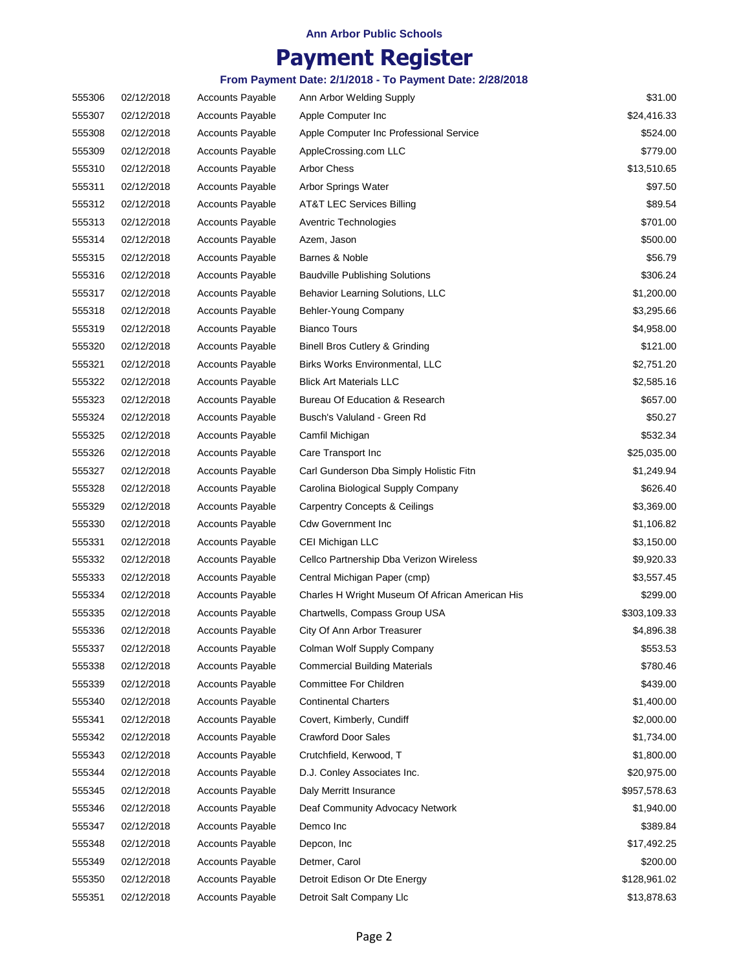## **Payment Register**

| 555306 | 02/12/2018 | <b>Accounts Payable</b> | Ann Arbor Welding Supply                        | \$31.00      |
|--------|------------|-------------------------|-------------------------------------------------|--------------|
| 555307 | 02/12/2018 | <b>Accounts Payable</b> | Apple Computer Inc                              | \$24,416.33  |
| 555308 | 02/12/2018 | <b>Accounts Payable</b> | Apple Computer Inc Professional Service         | \$524.00     |
| 555309 | 02/12/2018 | <b>Accounts Payable</b> | AppleCrossing.com LLC                           | \$779.00     |
| 555310 | 02/12/2018 | Accounts Payable        | <b>Arbor Chess</b>                              | \$13,510.65  |
| 555311 | 02/12/2018 | <b>Accounts Payable</b> | Arbor Springs Water                             | \$97.50      |
| 555312 | 02/12/2018 | <b>Accounts Payable</b> | AT&T LEC Services Billing                       | \$89.54      |
| 555313 | 02/12/2018 | <b>Accounts Payable</b> | Aventric Technologies                           | \$701.00     |
| 555314 | 02/12/2018 | <b>Accounts Payable</b> | Azem, Jason                                     | \$500.00     |
| 555315 | 02/12/2018 | <b>Accounts Payable</b> | Barnes & Noble                                  | \$56.79      |
| 555316 | 02/12/2018 | <b>Accounts Payable</b> | <b>Baudville Publishing Solutions</b>           | \$306.24     |
| 555317 | 02/12/2018 | <b>Accounts Payable</b> | Behavior Learning Solutions, LLC                | \$1,200.00   |
| 555318 | 02/12/2018 | <b>Accounts Payable</b> | Behler-Young Company                            | \$3,295.66   |
| 555319 | 02/12/2018 | <b>Accounts Payable</b> | <b>Bianco Tours</b>                             | \$4,958.00   |
| 555320 | 02/12/2018 | <b>Accounts Payable</b> | <b>Binell Bros Cutlery &amp; Grinding</b>       | \$121.00     |
| 555321 | 02/12/2018 | <b>Accounts Payable</b> | Birks Works Environmental, LLC                  | \$2,751.20   |
| 555322 | 02/12/2018 | <b>Accounts Payable</b> | <b>Blick Art Materials LLC</b>                  | \$2,585.16   |
| 555323 | 02/12/2018 | <b>Accounts Payable</b> | Bureau Of Education & Research                  | \$657.00     |
| 555324 | 02/12/2018 | <b>Accounts Payable</b> | Busch's Valuland - Green Rd                     | \$50.27      |
| 555325 | 02/12/2018 | <b>Accounts Payable</b> | Camfil Michigan                                 | \$532.34     |
| 555326 | 02/12/2018 | <b>Accounts Payable</b> | Care Transport Inc                              | \$25,035.00  |
| 555327 | 02/12/2018 | <b>Accounts Payable</b> | Carl Gunderson Dba Simply Holistic Fitn         | \$1,249.94   |
| 555328 | 02/12/2018 | <b>Accounts Payable</b> | Carolina Biological Supply Company              | \$626.40     |
| 555329 | 02/12/2018 | Accounts Payable        | <b>Carpentry Concepts &amp; Ceilings</b>        | \$3,369.00   |
| 555330 | 02/12/2018 | <b>Accounts Payable</b> | <b>Cdw Government Inc.</b>                      | \$1,106.82   |
| 555331 | 02/12/2018 | <b>Accounts Payable</b> | CEI Michigan LLC                                | \$3,150.00   |
| 555332 | 02/12/2018 | <b>Accounts Payable</b> | Cellco Partnership Dba Verizon Wireless         | \$9,920.33   |
| 555333 | 02/12/2018 | <b>Accounts Payable</b> | Central Michigan Paper (cmp)                    | \$3,557.45   |
| 555334 | 02/12/2018 | <b>Accounts Payable</b> | Charles H Wright Museum Of African American His | \$299.00     |
| 555335 | 02/12/2018 | <b>Accounts Payable</b> | Chartwells, Compass Group USA                   | \$303,109.33 |
| 555336 | 02/12/2018 | Accounts Payable        | City Of Ann Arbor Treasurer                     | \$4,896.38   |
| 555337 | 02/12/2018 | <b>Accounts Payable</b> | Colman Wolf Supply Company                      | \$553.53     |
| 555338 | 02/12/2018 | <b>Accounts Payable</b> | <b>Commercial Building Materials</b>            | \$780.46     |
| 555339 | 02/12/2018 | <b>Accounts Payable</b> | Committee For Children                          | \$439.00     |
| 555340 | 02/12/2018 | <b>Accounts Payable</b> | <b>Continental Charters</b>                     | \$1,400.00   |
| 555341 | 02/12/2018 | Accounts Payable        | Covert, Kimberly, Cundiff                       | \$2,000.00   |
| 555342 | 02/12/2018 | Accounts Payable        | <b>Crawford Door Sales</b>                      | \$1,734.00   |
| 555343 | 02/12/2018 | Accounts Payable        | Crutchfield, Kerwood, T                         | \$1,800.00   |
| 555344 | 02/12/2018 | <b>Accounts Payable</b> | D.J. Conley Associates Inc.                     | \$20,975.00  |
| 555345 | 02/12/2018 | Accounts Payable        | Daly Merritt Insurance                          | \$957,578.63 |
| 555346 | 02/12/2018 | <b>Accounts Payable</b> | Deaf Community Advocacy Network                 | \$1,940.00   |
| 555347 | 02/12/2018 | <b>Accounts Payable</b> | Demco Inc                                       | \$389.84     |
| 555348 | 02/12/2018 | Accounts Payable        | Depcon, Inc                                     | \$17,492.25  |
| 555349 | 02/12/2018 | Accounts Payable        | Detmer, Carol                                   | \$200.00     |
| 555350 | 02/12/2018 | <b>Accounts Payable</b> | Detroit Edison Or Dte Energy                    | \$128,961.02 |
| 555351 | 02/12/2018 | <b>Accounts Payable</b> | Detroit Salt Company Llc                        | \$13,878.63  |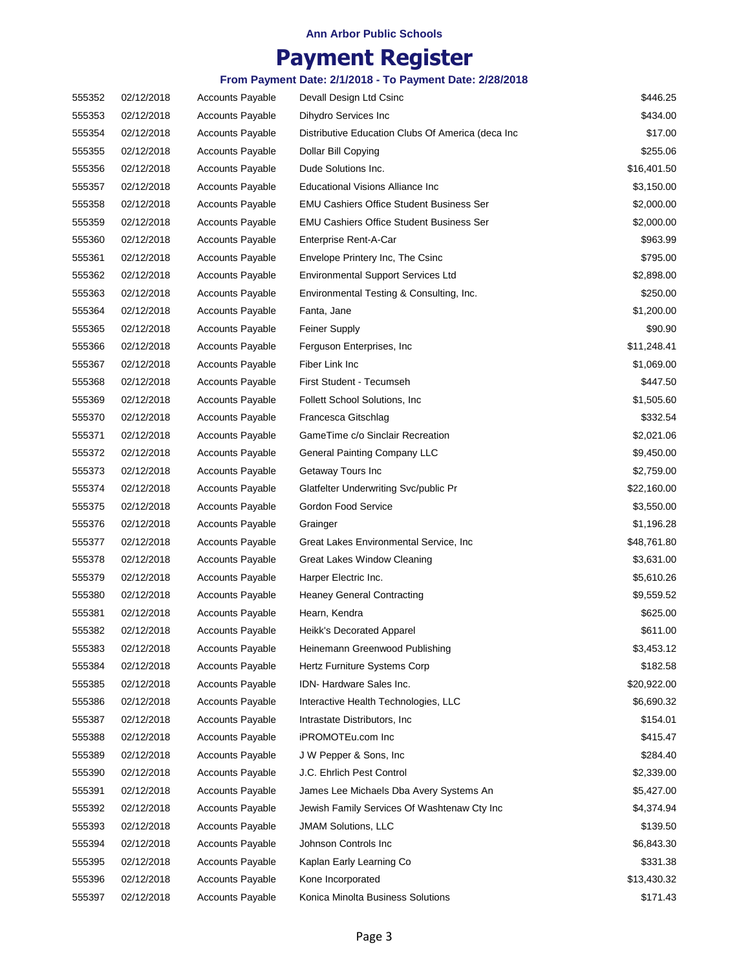## **Payment Register**

| 555352 | 02/12/2018 | <b>Accounts Payable</b> | Devall Design Ltd Csinc                            | \$446.25    |
|--------|------------|-------------------------|----------------------------------------------------|-------------|
| 555353 | 02/12/2018 | <b>Accounts Payable</b> | Dihydro Services Inc                               | \$434.00    |
| 555354 | 02/12/2018 | <b>Accounts Payable</b> | Distributive Education Clubs Of America (deca Inc. | \$17.00     |
| 555355 | 02/12/2018 | <b>Accounts Payable</b> | Dollar Bill Copying                                | \$255.06    |
| 555356 | 02/12/2018 | <b>Accounts Payable</b> | Dude Solutions Inc.                                | \$16,401.50 |
| 555357 | 02/12/2018 | <b>Accounts Payable</b> | Educational Visions Alliance Inc                   | \$3,150.00  |
| 555358 | 02/12/2018 | <b>Accounts Payable</b> | <b>EMU Cashiers Office Student Business Ser</b>    | \$2,000.00  |
| 555359 | 02/12/2018 | <b>Accounts Payable</b> | <b>EMU Cashiers Office Student Business Ser</b>    | \$2,000.00  |
| 555360 | 02/12/2018 | <b>Accounts Payable</b> | Enterprise Rent-A-Car                              | \$963.99    |
| 555361 | 02/12/2018 | <b>Accounts Payable</b> | Envelope Printery Inc, The Csinc                   | \$795.00    |
| 555362 | 02/12/2018 | <b>Accounts Payable</b> | <b>Environmental Support Services Ltd</b>          | \$2,898.00  |
| 555363 | 02/12/2018 | <b>Accounts Payable</b> | Environmental Testing & Consulting, Inc.           | \$250.00    |
| 555364 | 02/12/2018 | <b>Accounts Payable</b> | Fanta, Jane                                        | \$1,200.00  |
| 555365 | 02/12/2018 | <b>Accounts Payable</b> | <b>Feiner Supply</b>                               | \$90.90     |
| 555366 | 02/12/2018 | <b>Accounts Payable</b> | Ferguson Enterprises, Inc.                         | \$11,248.41 |
| 555367 | 02/12/2018 | <b>Accounts Payable</b> | Fiber Link Inc                                     | \$1,069.00  |
| 555368 | 02/12/2018 | <b>Accounts Payable</b> | First Student - Tecumseh                           | \$447.50    |
| 555369 | 02/12/2018 | <b>Accounts Payable</b> | Follett School Solutions, Inc.                     | \$1,505.60  |
| 555370 | 02/12/2018 | Accounts Payable        | Francesca Gitschlag                                | \$332.54    |
| 555371 | 02/12/2018 | <b>Accounts Payable</b> | GameTime c/o Sinclair Recreation                   | \$2,021.06  |
| 555372 | 02/12/2018 | <b>Accounts Payable</b> | <b>General Painting Company LLC</b>                | \$9,450.00  |
| 555373 | 02/12/2018 | <b>Accounts Payable</b> | Getaway Tours Inc                                  | \$2,759.00  |
| 555374 | 02/12/2018 | <b>Accounts Payable</b> | Glatfelter Underwriting Svc/public Pr              | \$22,160.00 |
| 555375 | 02/12/2018 | <b>Accounts Payable</b> | Gordon Food Service                                | \$3,550.00  |
| 555376 | 02/12/2018 | <b>Accounts Payable</b> | Grainger                                           | \$1,196.28  |
| 555377 | 02/12/2018 | <b>Accounts Payable</b> | Great Lakes Environmental Service, Inc.            | \$48,761.80 |
| 555378 | 02/12/2018 | <b>Accounts Payable</b> | Great Lakes Window Cleaning                        | \$3,631.00  |
| 555379 | 02/12/2018 | <b>Accounts Payable</b> | Harper Electric Inc.                               | \$5,610.26  |
| 555380 | 02/12/2018 | <b>Accounts Payable</b> | <b>Heaney General Contracting</b>                  | \$9,559.52  |
| 555381 | 02/12/2018 | <b>Accounts Payable</b> | Hearn, Kendra                                      | \$625.00    |
| 555382 | 02/12/2018 | <b>Accounts Payable</b> | Heikk's Decorated Apparel                          | \$611.00    |
| 555383 | 02/12/2018 | <b>Accounts Payable</b> | Heinemann Greenwood Publishing                     | \$3,453.12  |
| 555384 | 02/12/2018 | <b>Accounts Payable</b> | Hertz Furniture Systems Corp                       | \$182.58    |
| 555385 | 02/12/2018 | <b>Accounts Payable</b> | IDN-Hardware Sales Inc.                            | \$20,922.00 |
| 555386 | 02/12/2018 | Accounts Payable        | Interactive Health Technologies, LLC               | \$6,690.32  |
| 555387 | 02/12/2018 | <b>Accounts Payable</b> | Intrastate Distributors, Inc.                      | \$154.01    |
| 555388 | 02/12/2018 | <b>Accounts Payable</b> | iPROMOTEu.com Inc                                  | \$415.47    |
| 555389 | 02/12/2018 | Accounts Payable        | J W Pepper & Sons, Inc.                            | \$284.40    |
| 555390 | 02/12/2018 | <b>Accounts Payable</b> | J.C. Ehrlich Pest Control                          | \$2,339.00  |
| 555391 | 02/12/2018 | <b>Accounts Payable</b> | James Lee Michaels Dba Avery Systems An            | \$5,427.00  |
| 555392 | 02/12/2018 | Accounts Payable        | Jewish Family Services Of Washtenaw Cty Inc        | \$4,374.94  |
| 555393 | 02/12/2018 | <b>Accounts Payable</b> | <b>JMAM Solutions, LLC</b>                         | \$139.50    |
| 555394 | 02/12/2018 | <b>Accounts Payable</b> | Johnson Controls Inc                               | \$6,843.30  |
| 555395 | 02/12/2018 | <b>Accounts Payable</b> | Kaplan Early Learning Co                           | \$331.38    |
| 555396 | 02/12/2018 | Accounts Payable        | Kone Incorporated                                  | \$13,430.32 |
| 555397 | 02/12/2018 | <b>Accounts Payable</b> | Konica Minolta Business Solutions                  | \$171.43    |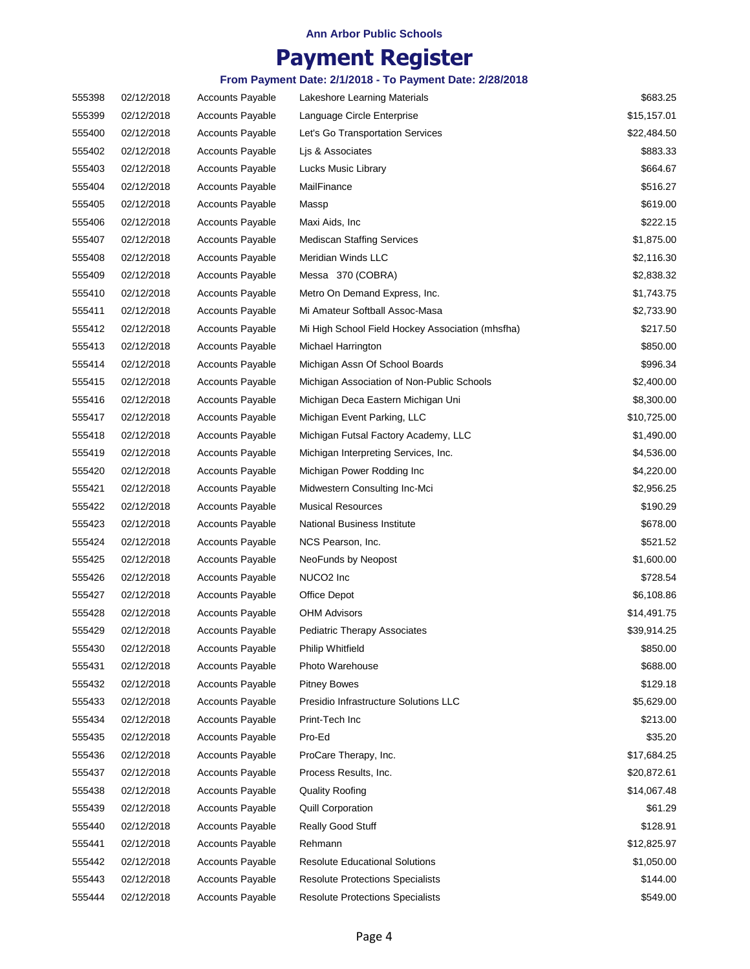## **Payment Register**

| 555398 | 02/12/2018 | <b>Accounts Payable</b> | Lakeshore Learning Materials                     | \$683.25    |
|--------|------------|-------------------------|--------------------------------------------------|-------------|
| 555399 | 02/12/2018 | <b>Accounts Payable</b> | Language Circle Enterprise                       | \$15,157.01 |
| 555400 | 02/12/2018 | <b>Accounts Payable</b> | Let's Go Transportation Services                 | \$22,484.50 |
| 555402 | 02/12/2018 | <b>Accounts Payable</b> | Lis & Associates                                 | \$883.33    |
| 555403 | 02/12/2018 | <b>Accounts Payable</b> | Lucks Music Library                              | \$664.67    |
| 555404 | 02/12/2018 | <b>Accounts Payable</b> | MailFinance                                      | \$516.27    |
| 555405 | 02/12/2018 | <b>Accounts Payable</b> | Massp                                            | \$619.00    |
| 555406 | 02/12/2018 | <b>Accounts Payable</b> | Maxi Aids, Inc                                   | \$222.15    |
| 555407 | 02/12/2018 | <b>Accounts Payable</b> | <b>Mediscan Staffing Services</b>                | \$1,875.00  |
| 555408 | 02/12/2018 | <b>Accounts Payable</b> | Meridian Winds LLC                               | \$2,116.30  |
| 555409 | 02/12/2018 | <b>Accounts Payable</b> | Messa 370 (COBRA)                                | \$2,838.32  |
| 555410 | 02/12/2018 | <b>Accounts Payable</b> | Metro On Demand Express, Inc.                    | \$1,743.75  |
| 555411 | 02/12/2018 | <b>Accounts Payable</b> | Mi Amateur Softball Assoc-Masa                   | \$2,733.90  |
| 555412 | 02/12/2018 | <b>Accounts Payable</b> | Mi High School Field Hockey Association (mhsfha) | \$217.50    |
| 555413 | 02/12/2018 | <b>Accounts Payable</b> | Michael Harrington                               | \$850.00    |
| 555414 | 02/12/2018 | <b>Accounts Payable</b> | Michigan Assn Of School Boards                   | \$996.34    |
| 555415 | 02/12/2018 | <b>Accounts Payable</b> | Michigan Association of Non-Public Schools       | \$2,400.00  |
| 555416 | 02/12/2018 | <b>Accounts Payable</b> | Michigan Deca Eastern Michigan Uni               | \$8,300.00  |
| 555417 | 02/12/2018 | <b>Accounts Payable</b> | Michigan Event Parking, LLC                      | \$10,725.00 |
| 555418 | 02/12/2018 | <b>Accounts Payable</b> | Michigan Futsal Factory Academy, LLC             | \$1,490.00  |
| 555419 | 02/12/2018 | <b>Accounts Payable</b> | Michigan Interpreting Services, Inc.             | \$4,536.00  |
| 555420 | 02/12/2018 | <b>Accounts Payable</b> | Michigan Power Rodding Inc                       | \$4,220.00  |
| 555421 | 02/12/2018 | <b>Accounts Payable</b> | Midwestern Consulting Inc-Mci                    | \$2,956.25  |
| 555422 | 02/12/2018 | <b>Accounts Payable</b> | <b>Musical Resources</b>                         | \$190.29    |
| 555423 | 02/12/2018 | <b>Accounts Payable</b> | National Business Institute                      | \$678.00    |
| 555424 | 02/12/2018 | <b>Accounts Payable</b> | NCS Pearson, Inc.                                | \$521.52    |
| 555425 | 02/12/2018 | <b>Accounts Payable</b> | NeoFunds by Neopost                              | \$1,600.00  |
| 555426 | 02/12/2018 | <b>Accounts Payable</b> | NUCO2 Inc                                        | \$728.54    |
| 555427 | 02/12/2018 | <b>Accounts Payable</b> | Office Depot                                     | \$6,108.86  |
| 555428 | 02/12/2018 | <b>Accounts Payable</b> | <b>OHM Advisors</b>                              | \$14,491.75 |
| 555429 | 02/12/2018 | <b>Accounts Payable</b> | <b>Pediatric Therapy Associates</b>              | \$39,914.25 |
| 555430 | 02/12/2018 | <b>Accounts Payable</b> | <b>Philip Whitfield</b>                          | \$850.00    |
| 555431 | 02/12/2018 | <b>Accounts Payable</b> | Photo Warehouse                                  | \$688.00    |
| 555432 | 02/12/2018 | <b>Accounts Payable</b> | <b>Pitney Bowes</b>                              | \$129.18    |
| 555433 | 02/12/2018 | <b>Accounts Payable</b> | Presidio Infrastructure Solutions LLC            | \$5,629.00  |
| 555434 | 02/12/2018 | <b>Accounts Payable</b> | Print-Tech Inc                                   | \$213.00    |
| 555435 | 02/12/2018 | <b>Accounts Payable</b> | Pro-Ed                                           | \$35.20     |
| 555436 | 02/12/2018 | <b>Accounts Payable</b> | ProCare Therapy, Inc.                            | \$17,684.25 |
| 555437 | 02/12/2018 | <b>Accounts Payable</b> | Process Results, Inc.                            | \$20,872.61 |
| 555438 | 02/12/2018 | <b>Accounts Payable</b> | <b>Quality Roofing</b>                           | \$14,067.48 |
| 555439 | 02/12/2018 | <b>Accounts Payable</b> | <b>Quill Corporation</b>                         | \$61.29     |
| 555440 | 02/12/2018 | <b>Accounts Payable</b> | Really Good Stuff                                | \$128.91    |
| 555441 | 02/12/2018 | <b>Accounts Payable</b> | Rehmann                                          | \$12,825.97 |
| 555442 | 02/12/2018 | <b>Accounts Payable</b> | <b>Resolute Educational Solutions</b>            | \$1,050.00  |
| 555443 | 02/12/2018 | <b>Accounts Payable</b> | <b>Resolute Protections Specialists</b>          | \$144.00    |
| 555444 | 02/12/2018 | <b>Accounts Payable</b> | <b>Resolute Protections Specialists</b>          | \$549.00    |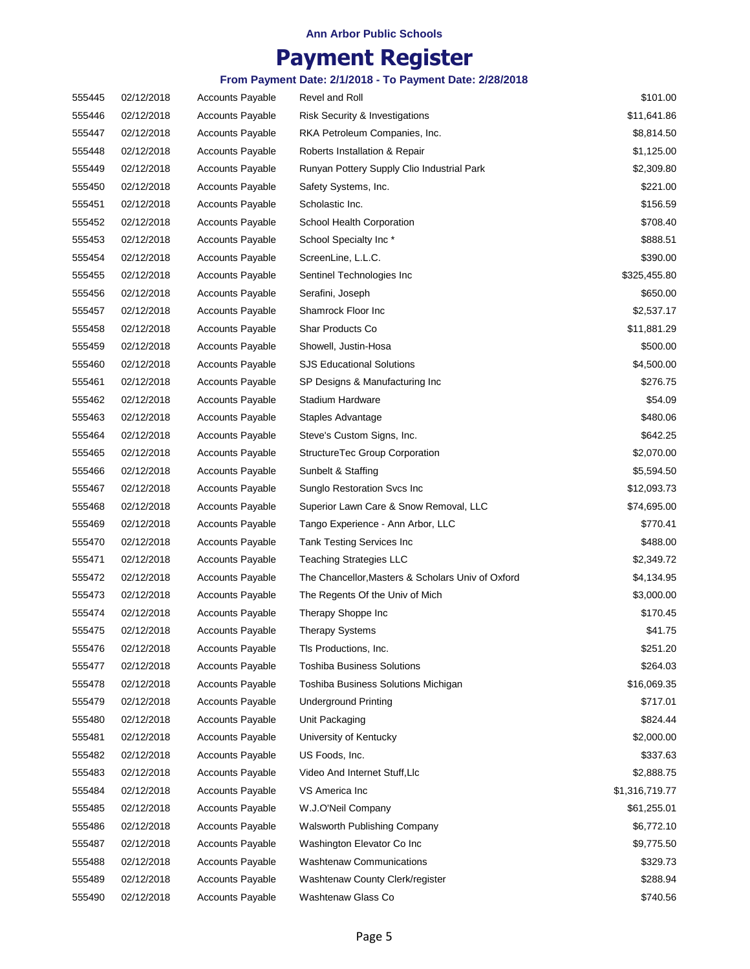## **Payment Register**

| 555445 | 02/12/2018 | <b>Accounts Payable</b> | Revel and Roll                                    | \$101.00       |
|--------|------------|-------------------------|---------------------------------------------------|----------------|
| 555446 | 02/12/2018 | <b>Accounts Payable</b> | Risk Security & Investigations                    | \$11,641.86    |
| 555447 | 02/12/2018 | <b>Accounts Payable</b> | RKA Petroleum Companies, Inc.                     | \$8,814.50     |
| 555448 | 02/12/2018 | <b>Accounts Payable</b> | Roberts Installation & Repair                     | \$1,125.00     |
| 555449 | 02/12/2018 | <b>Accounts Payable</b> | Runyan Pottery Supply Clio Industrial Park        | \$2,309.80     |
| 555450 | 02/12/2018 | <b>Accounts Payable</b> | Safety Systems, Inc.                              | \$221.00       |
| 555451 | 02/12/2018 | <b>Accounts Payable</b> | Scholastic Inc.                                   | \$156.59       |
| 555452 | 02/12/2018 | <b>Accounts Payable</b> | School Health Corporation                         | \$708.40       |
| 555453 | 02/12/2018 | <b>Accounts Payable</b> | School Specialty Inc*                             | \$888.51       |
| 555454 | 02/12/2018 | <b>Accounts Payable</b> | ScreenLine, L.L.C.                                | \$390.00       |
| 555455 | 02/12/2018 | <b>Accounts Payable</b> | Sentinel Technologies Inc                         | \$325,455.80   |
| 555456 | 02/12/2018 | <b>Accounts Payable</b> | Serafini, Joseph                                  | \$650.00       |
| 555457 | 02/12/2018 | <b>Accounts Payable</b> | Shamrock Floor Inc                                | \$2,537.17     |
| 555458 | 02/12/2018 | <b>Accounts Payable</b> | Shar Products Co                                  | \$11,881.29    |
| 555459 | 02/12/2018 | <b>Accounts Payable</b> | Showell, Justin-Hosa                              | \$500.00       |
| 555460 | 02/12/2018 | <b>Accounts Payable</b> | <b>SJS Educational Solutions</b>                  | \$4,500.00     |
| 555461 | 02/12/2018 | <b>Accounts Payable</b> | SP Designs & Manufacturing Inc                    | \$276.75       |
| 555462 | 02/12/2018 | <b>Accounts Payable</b> | Stadium Hardware                                  | \$54.09        |
| 555463 | 02/12/2018 | <b>Accounts Payable</b> | Staples Advantage                                 | \$480.06       |
| 555464 | 02/12/2018 | <b>Accounts Payable</b> | Steve's Custom Signs, Inc.                        | \$642.25       |
| 555465 | 02/12/2018 | <b>Accounts Payable</b> | StructureTec Group Corporation                    | \$2,070.00     |
| 555466 | 02/12/2018 | <b>Accounts Payable</b> | Sunbelt & Staffing                                | \$5,594.50     |
| 555467 | 02/12/2018 | <b>Accounts Payable</b> | Sunglo Restoration Svcs Inc                       | \$12,093.73    |
| 555468 | 02/12/2018 | <b>Accounts Payable</b> | Superior Lawn Care & Snow Removal, LLC            | \$74,695.00    |
| 555469 | 02/12/2018 | <b>Accounts Payable</b> | Tango Experience - Ann Arbor, LLC                 | \$770.41       |
| 555470 | 02/12/2018 | <b>Accounts Payable</b> | Tank Testing Services Inc                         | \$488.00       |
| 555471 | 02/12/2018 | <b>Accounts Payable</b> | <b>Teaching Strategies LLC</b>                    | \$2,349.72     |
| 555472 | 02/12/2018 | <b>Accounts Payable</b> | The Chancellor, Masters & Scholars Univ of Oxford | \$4,134.95     |
| 555473 | 02/12/2018 | <b>Accounts Payable</b> | The Regents Of the Univ of Mich                   | \$3,000.00     |
| 555474 | 02/12/2018 | <b>Accounts Payable</b> | Therapy Shoppe Inc                                | \$170.45       |
| 555475 | 02/12/2018 | <b>Accounts Payable</b> | <b>Therapy Systems</b>                            | \$41.75        |
| 555476 | 02/12/2018 | <b>Accounts Payable</b> | Tls Productions, Inc.                             | \$251.20       |
| 555477 | 02/12/2018 | <b>Accounts Payable</b> | <b>Toshiba Business Solutions</b>                 | \$264.03       |
| 555478 | 02/12/2018 | <b>Accounts Payable</b> | Toshiba Business Solutions Michigan               | \$16,069.35    |
| 555479 | 02/12/2018 | <b>Accounts Payable</b> | <b>Underground Printing</b>                       | \$717.01       |
| 555480 | 02/12/2018 | <b>Accounts Payable</b> | Unit Packaging                                    | \$824.44       |
| 555481 | 02/12/2018 | <b>Accounts Payable</b> | University of Kentucky                            | \$2,000.00     |
| 555482 | 02/12/2018 | <b>Accounts Payable</b> | US Foods, Inc.                                    | \$337.63       |
| 555483 | 02/12/2018 | <b>Accounts Payable</b> | Video And Internet Stuff, Llc                     | \$2,888.75     |
| 555484 | 02/12/2018 | Accounts Payable        | VS America Inc                                    | \$1,316,719.77 |
| 555485 | 02/12/2018 | <b>Accounts Payable</b> | W.J.O'Neil Company                                | \$61,255.01    |
| 555486 | 02/12/2018 | <b>Accounts Payable</b> | Walsworth Publishing Company                      | \$6,772.10     |
| 555487 | 02/12/2018 | Accounts Payable        | Washington Elevator Co Inc                        | \$9,775.50     |
| 555488 | 02/12/2018 | <b>Accounts Payable</b> | <b>Washtenaw Communications</b>                   | \$329.73       |
| 555489 | 02/12/2018 | <b>Accounts Payable</b> | Washtenaw County Clerk/register                   | \$288.94       |
| 555490 | 02/12/2018 | Accounts Payable        | Washtenaw Glass Co                                | \$740.56       |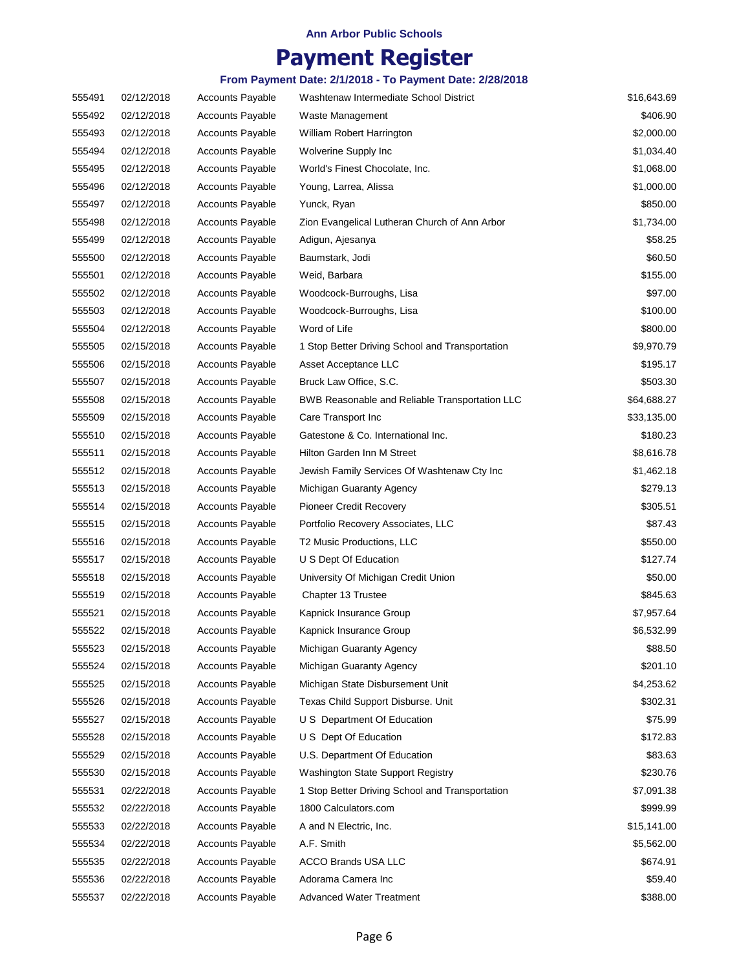## **Payment Register**

| 555491 | 02/12/2018 | <b>Accounts Payable</b> | Washtenaw Intermediate School District          | \$16,643.69 |
|--------|------------|-------------------------|-------------------------------------------------|-------------|
| 555492 | 02/12/2018 | <b>Accounts Payable</b> | Waste Management                                | \$406.90    |
| 555493 | 02/12/2018 | <b>Accounts Payable</b> | William Robert Harrington                       | \$2,000.00  |
| 555494 | 02/12/2018 | <b>Accounts Payable</b> | Wolverine Supply Inc                            | \$1,034.40  |
| 555495 | 02/12/2018 | <b>Accounts Payable</b> | World's Finest Chocolate, Inc.                  | \$1,068.00  |
| 555496 | 02/12/2018 | <b>Accounts Payable</b> | Young, Larrea, Alissa                           | \$1,000.00  |
| 555497 | 02/12/2018 | <b>Accounts Payable</b> | Yunck, Ryan                                     | \$850.00    |
| 555498 | 02/12/2018 | <b>Accounts Payable</b> | Zion Evangelical Lutheran Church of Ann Arbor   | \$1,734.00  |
| 555499 | 02/12/2018 | <b>Accounts Payable</b> | Adigun, Ajesanya                                | \$58.25     |
| 555500 | 02/12/2018 | <b>Accounts Payable</b> | Baumstark, Jodi                                 | \$60.50     |
| 555501 | 02/12/2018 | <b>Accounts Payable</b> | Weid, Barbara                                   | \$155.00    |
| 555502 | 02/12/2018 | <b>Accounts Payable</b> | Woodcock-Burroughs, Lisa                        | \$97.00     |
| 555503 | 02/12/2018 | <b>Accounts Payable</b> | Woodcock-Burroughs, Lisa                        | \$100.00    |
| 555504 | 02/12/2018 | <b>Accounts Payable</b> | Word of Life                                    | \$800.00    |
| 555505 | 02/15/2018 | <b>Accounts Payable</b> | 1 Stop Better Driving School and Transportation | \$9,970.79  |
| 555506 | 02/15/2018 | <b>Accounts Payable</b> | Asset Acceptance LLC                            | \$195.17    |
| 555507 | 02/15/2018 | <b>Accounts Payable</b> | Bruck Law Office, S.C.                          | \$503.30    |
| 555508 | 02/15/2018 | <b>Accounts Payable</b> | BWB Reasonable and Reliable Transportation LLC  | \$64,688.27 |
| 555509 | 02/15/2018 | <b>Accounts Payable</b> | Care Transport Inc                              | \$33,135.00 |
| 555510 | 02/15/2018 | <b>Accounts Payable</b> | Gatestone & Co. International Inc.              | \$180.23    |
| 555511 | 02/15/2018 | <b>Accounts Payable</b> | Hilton Garden Inn M Street                      | \$8,616.78  |
| 555512 | 02/15/2018 | <b>Accounts Payable</b> | Jewish Family Services Of Washtenaw Cty Inc     | \$1,462.18  |
| 555513 | 02/15/2018 | <b>Accounts Payable</b> | Michigan Guaranty Agency                        | \$279.13    |
| 555514 | 02/15/2018 | <b>Accounts Payable</b> | <b>Pioneer Credit Recovery</b>                  | \$305.51    |
| 555515 | 02/15/2018 | <b>Accounts Payable</b> | Portfolio Recovery Associates, LLC              | \$87.43     |
| 555516 | 02/15/2018 | <b>Accounts Payable</b> | T2 Music Productions, LLC                       | \$550.00    |
| 555517 | 02/15/2018 | <b>Accounts Payable</b> | U S Dept Of Education                           | \$127.74    |
| 555518 | 02/15/2018 | <b>Accounts Payable</b> | University Of Michigan Credit Union             | \$50.00     |
| 555519 | 02/15/2018 | <b>Accounts Payable</b> | Chapter 13 Trustee                              | \$845.63    |
| 555521 | 02/15/2018 | <b>Accounts Payable</b> | Kapnick Insurance Group                         | \$7,957.64  |
| 555522 | 02/15/2018 | <b>Accounts Payable</b> | Kapnick Insurance Group                         | \$6,532.99  |
| 555523 | 02/15/2018 | <b>Accounts Payable</b> | Michigan Guaranty Agency                        | \$88.50     |
| 555524 | 02/15/2018 | <b>Accounts Payable</b> | Michigan Guaranty Agency                        | \$201.10    |
| 555525 | 02/15/2018 | <b>Accounts Payable</b> | Michigan State Disbursement Unit                | \$4,253.62  |
| 555526 | 02/15/2018 | <b>Accounts Payable</b> | Texas Child Support Disburse. Unit              | \$302.31    |
| 555527 | 02/15/2018 | Accounts Payable        | U S Department Of Education                     | \$75.99     |
| 555528 | 02/15/2018 | <b>Accounts Payable</b> | U S Dept Of Education                           | \$172.83    |
| 555529 | 02/15/2018 | Accounts Payable        | U.S. Department Of Education                    | \$83.63     |
| 555530 | 02/15/2018 | <b>Accounts Payable</b> | Washington State Support Registry               | \$230.76    |
| 555531 | 02/22/2018 | <b>Accounts Payable</b> | 1 Stop Better Driving School and Transportation | \$7,091.38  |
| 555532 | 02/22/2018 | <b>Accounts Payable</b> | 1800 Calculators.com                            | \$999.99    |
| 555533 | 02/22/2018 | <b>Accounts Payable</b> | A and N Electric, Inc.                          | \$15,141.00 |
| 555534 | 02/22/2018 | <b>Accounts Payable</b> | A.F. Smith                                      | \$5,562.00  |
| 555535 | 02/22/2018 | <b>Accounts Payable</b> | <b>ACCO Brands USA LLC</b>                      | \$674.91    |
| 555536 | 02/22/2018 | Accounts Payable        | Adorama Camera Inc                              | \$59.40     |
| 555537 | 02/22/2018 | <b>Accounts Payable</b> | Advanced Water Treatment                        | \$388.00    |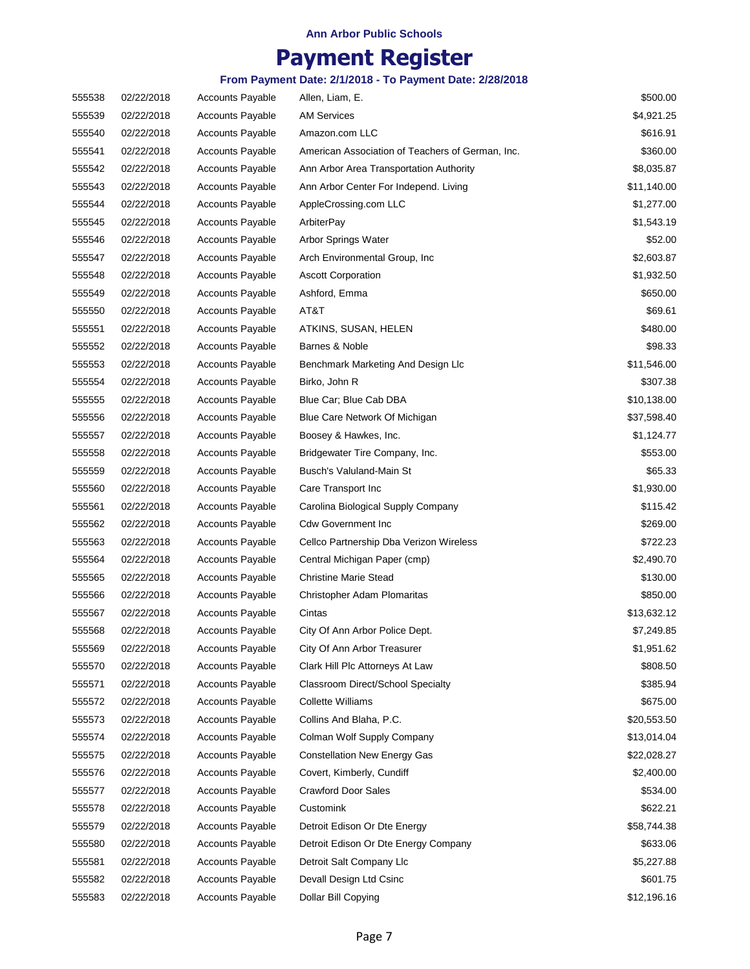## **Payment Register**

| 555538 | 02/22/2018 | <b>Accounts Payable</b> | Allen, Liam, E.                                  | \$500.00    |
|--------|------------|-------------------------|--------------------------------------------------|-------------|
| 555539 | 02/22/2018 | <b>Accounts Payable</b> | <b>AM Services</b>                               | \$4,921.25  |
| 555540 | 02/22/2018 | <b>Accounts Payable</b> | Amazon.com LLC                                   | \$616.91    |
| 555541 | 02/22/2018 | <b>Accounts Payable</b> | American Association of Teachers of German, Inc. | \$360.00    |
| 555542 | 02/22/2018 | <b>Accounts Payable</b> | Ann Arbor Area Transportation Authority          | \$8,035.87  |
| 555543 | 02/22/2018 | <b>Accounts Payable</b> | Ann Arbor Center For Independ. Living            | \$11,140.00 |
| 555544 | 02/22/2018 | <b>Accounts Payable</b> | AppleCrossing.com LLC                            | \$1,277.00  |
| 555545 | 02/22/2018 | <b>Accounts Payable</b> | ArbiterPay                                       | \$1,543.19  |
| 555546 | 02/22/2018 | <b>Accounts Payable</b> | Arbor Springs Water                              | \$52.00     |
| 555547 | 02/22/2018 | <b>Accounts Payable</b> | Arch Environmental Group, Inc.                   | \$2,603.87  |
| 555548 | 02/22/2018 | <b>Accounts Payable</b> | <b>Ascott Corporation</b>                        | \$1,932.50  |
| 555549 | 02/22/2018 | <b>Accounts Payable</b> | Ashford, Emma                                    | \$650.00    |
| 555550 | 02/22/2018 | <b>Accounts Payable</b> | AT&T                                             | \$69.61     |
| 555551 | 02/22/2018 | <b>Accounts Payable</b> | ATKINS, SUSAN, HELEN                             | \$480.00    |
| 555552 | 02/22/2018 | <b>Accounts Payable</b> | Barnes & Noble                                   | \$98.33     |
| 555553 | 02/22/2018 | <b>Accounts Payable</b> | Benchmark Marketing And Design Llc               | \$11,546.00 |
| 555554 | 02/22/2018 | <b>Accounts Payable</b> | Birko, John R                                    | \$307.38    |
| 555555 | 02/22/2018 | <b>Accounts Payable</b> | Blue Car; Blue Cab DBA                           | \$10,138.00 |
| 555556 | 02/22/2018 | <b>Accounts Payable</b> | Blue Care Network Of Michigan                    | \$37,598.40 |
| 555557 | 02/22/2018 | <b>Accounts Payable</b> | Boosey & Hawkes, Inc.                            | \$1,124.77  |
| 555558 | 02/22/2018 | <b>Accounts Payable</b> | Bridgewater Tire Company, Inc.                   | \$553.00    |
| 555559 | 02/22/2018 | <b>Accounts Payable</b> | Busch's Valuland-Main St                         | \$65.33     |
| 555560 | 02/22/2018 | <b>Accounts Payable</b> | Care Transport Inc                               | \$1,930.00  |
| 555561 | 02/22/2018 | <b>Accounts Payable</b> | Carolina Biological Supply Company               | \$115.42    |
| 555562 | 02/22/2018 | <b>Accounts Payable</b> | <b>Cdw Government Inc.</b>                       | \$269.00    |
| 555563 | 02/22/2018 | <b>Accounts Payable</b> | Cellco Partnership Dba Verizon Wireless          | \$722.23    |
| 555564 | 02/22/2018 | <b>Accounts Payable</b> | Central Michigan Paper (cmp)                     | \$2,490.70  |
| 555565 | 02/22/2018 | <b>Accounts Payable</b> | <b>Christine Marie Stead</b>                     | \$130.00    |
| 555566 | 02/22/2018 | <b>Accounts Payable</b> | Christopher Adam Plomaritas                      | \$850.00    |
| 555567 | 02/22/2018 | <b>Accounts Payable</b> | Cintas                                           | \$13,632.12 |
| 555568 | 02/22/2018 | <b>Accounts Payable</b> | City Of Ann Arbor Police Dept.                   | \$7,249.85  |
| 555569 | 02/22/2018 | <b>Accounts Payable</b> | City Of Ann Arbor Treasurer                      | \$1,951.62  |
| 555570 | 02/22/2018 | <b>Accounts Payable</b> | Clark Hill Plc Attorneys At Law                  | \$808.50    |
| 555571 | 02/22/2018 | <b>Accounts Payable</b> | Classroom Direct/School Specialty                | \$385.94    |
| 555572 | 02/22/2018 | <b>Accounts Payable</b> | <b>Collette Williams</b>                         | \$675.00    |
| 555573 | 02/22/2018 | <b>Accounts Payable</b> | Collins And Blaha, P.C.                          | \$20,553.50 |
| 555574 | 02/22/2018 | <b>Accounts Payable</b> | Colman Wolf Supply Company                       | \$13,014.04 |
| 555575 | 02/22/2018 | Accounts Payable        | <b>Constellation New Energy Gas</b>              | \$22,028.27 |
| 555576 | 02/22/2018 | <b>Accounts Payable</b> | Covert, Kimberly, Cundiff                        | \$2,400.00  |
| 555577 | 02/22/2018 | <b>Accounts Payable</b> | <b>Crawford Door Sales</b>                       | \$534.00    |
| 555578 | 02/22/2018 | <b>Accounts Payable</b> | Customink                                        | \$622.21    |
| 555579 | 02/22/2018 | <b>Accounts Payable</b> | Detroit Edison Or Dte Energy                     | \$58,744.38 |
| 555580 | 02/22/2018 | <b>Accounts Payable</b> | Detroit Edison Or Dte Energy Company             | \$633.06    |
| 555581 | 02/22/2018 | <b>Accounts Payable</b> | Detroit Salt Company Llc                         | \$5,227.88  |
| 555582 | 02/22/2018 | Accounts Payable        | Devall Design Ltd Csinc                          | \$601.75    |
| 555583 | 02/22/2018 | <b>Accounts Payable</b> | Dollar Bill Copying                              | \$12,196.16 |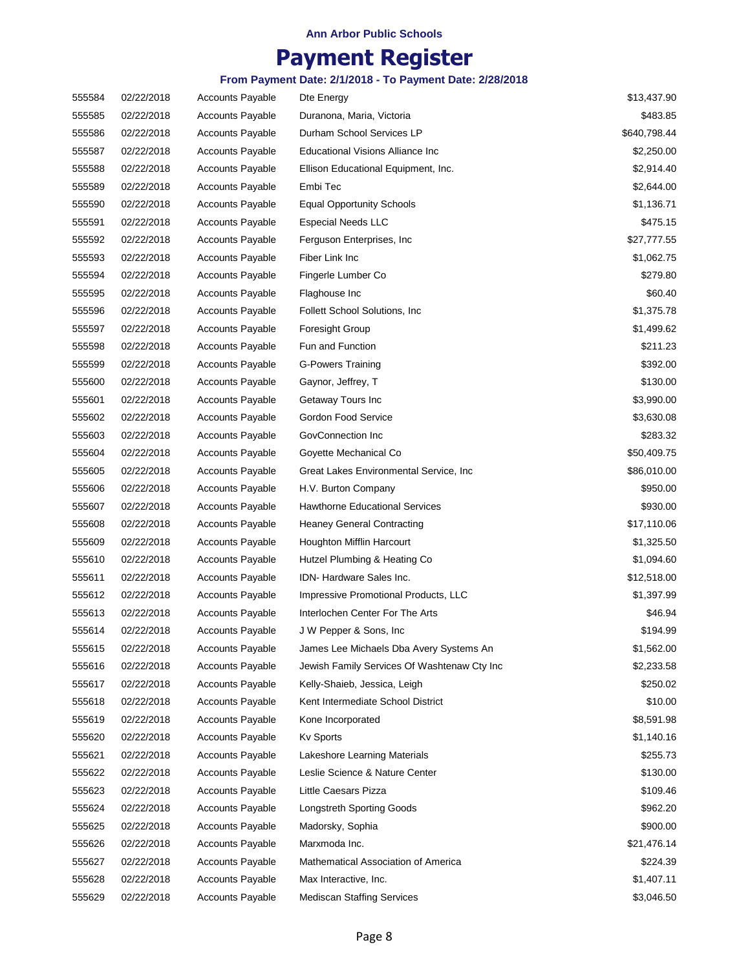## **Payment Register**

| 555584 | 02/22/2018 | <b>Accounts Payable</b> | Dte Energy                                  | \$13,437.90  |
|--------|------------|-------------------------|---------------------------------------------|--------------|
| 555585 | 02/22/2018 | <b>Accounts Payable</b> | Duranona, Maria, Victoria                   | \$483.85     |
| 555586 | 02/22/2018 | <b>Accounts Payable</b> | Durham School Services LP                   | \$640,798.44 |
| 555587 | 02/22/2018 | <b>Accounts Payable</b> | Educational Visions Alliance Inc            | \$2,250.00   |
| 555588 | 02/22/2018 | <b>Accounts Payable</b> | Ellison Educational Equipment, Inc.         | \$2,914.40   |
| 555589 | 02/22/2018 | Accounts Payable        | Embi Tec                                    | \$2,644.00   |
| 555590 | 02/22/2018 | <b>Accounts Payable</b> | <b>Equal Opportunity Schools</b>            | \$1,136.71   |
| 555591 | 02/22/2018 | <b>Accounts Payable</b> | <b>Especial Needs LLC</b>                   | \$475.15     |
| 555592 | 02/22/2018 | <b>Accounts Payable</b> | Ferguson Enterprises, Inc.                  | \$27,777.55  |
| 555593 | 02/22/2018 | <b>Accounts Payable</b> | Fiber Link Inc                              | \$1,062.75   |
| 555594 | 02/22/2018 | <b>Accounts Payable</b> | Fingerle Lumber Co                          | \$279.80     |
| 555595 | 02/22/2018 | <b>Accounts Payable</b> | Flaghouse Inc                               | \$60.40      |
| 555596 | 02/22/2018 | <b>Accounts Payable</b> | Follett School Solutions, Inc.              | \$1,375.78   |
| 555597 | 02/22/2018 | <b>Accounts Payable</b> | <b>Foresight Group</b>                      | \$1,499.62   |
| 555598 | 02/22/2018 | <b>Accounts Payable</b> | Fun and Function                            | \$211.23     |
| 555599 | 02/22/2018 | <b>Accounts Payable</b> | <b>G-Powers Training</b>                    | \$392.00     |
| 555600 | 02/22/2018 | <b>Accounts Payable</b> | Gaynor, Jeffrey, T                          | \$130.00     |
| 555601 | 02/22/2018 | <b>Accounts Payable</b> | Getaway Tours Inc                           | \$3,990.00   |
| 555602 | 02/22/2018 | <b>Accounts Payable</b> | Gordon Food Service                         | \$3,630.08   |
| 555603 | 02/22/2018 | Accounts Payable        | GovConnection Inc                           | \$283.32     |
| 555604 | 02/22/2018 | <b>Accounts Payable</b> | Goyette Mechanical Co                       | \$50,409.75  |
| 555605 | 02/22/2018 | <b>Accounts Payable</b> | Great Lakes Environmental Service, Inc.     | \$86,010.00  |
| 555606 | 02/22/2018 | <b>Accounts Payable</b> | H.V. Burton Company                         | \$950.00     |
| 555607 | 02/22/2018 | <b>Accounts Payable</b> | Hawthorne Educational Services              | \$930.00     |
| 555608 | 02/22/2018 | <b>Accounts Payable</b> | <b>Heaney General Contracting</b>           | \$17,110.06  |
| 555609 | 02/22/2018 | <b>Accounts Payable</b> | Houghton Mifflin Harcourt                   | \$1,325.50   |
| 555610 | 02/22/2018 | <b>Accounts Payable</b> | Hutzel Plumbing & Heating Co                | \$1,094.60   |
| 555611 | 02/22/2018 | <b>Accounts Payable</b> | IDN-Hardware Sales Inc.                     | \$12,518.00  |
| 555612 | 02/22/2018 | <b>Accounts Payable</b> | Impressive Promotional Products, LLC        | \$1,397.99   |
| 555613 | 02/22/2018 | <b>Accounts Payable</b> | Interlochen Center For The Arts             | \$46.94      |
| 555614 | 02/22/2018 | <b>Accounts Payable</b> | J W Pepper & Sons, Inc.                     | \$194.99     |
| 555615 | 02/22/2018 | <b>Accounts Payable</b> | James Lee Michaels Dba Avery Systems An     | \$1,562.00   |
| 555616 | 02/22/2018 | <b>Accounts Payable</b> | Jewish Family Services Of Washtenaw Cty Inc | \$2,233.58   |
| 555617 | 02/22/2018 | <b>Accounts Payable</b> | Kelly-Shaieb, Jessica, Leigh                | \$250.02     |
| 555618 | 02/22/2018 | <b>Accounts Payable</b> | Kent Intermediate School District           | \$10.00      |
| 555619 | 02/22/2018 | <b>Accounts Payable</b> | Kone Incorporated                           | \$8,591.98   |
| 555620 | 02/22/2018 | <b>Accounts Payable</b> | <b>Kv Sports</b>                            | \$1,140.16   |
| 555621 | 02/22/2018 | Accounts Payable        | Lakeshore Learning Materials                | \$255.73     |
| 555622 | 02/22/2018 | <b>Accounts Payable</b> | Leslie Science & Nature Center              | \$130.00     |
| 555623 | 02/22/2018 | <b>Accounts Payable</b> | Little Caesars Pizza                        | \$109.46     |
| 555624 | 02/22/2018 | Accounts Payable        | <b>Longstreth Sporting Goods</b>            | \$962.20     |
| 555625 | 02/22/2018 | <b>Accounts Payable</b> | Madorsky, Sophia                            | \$900.00     |
| 555626 | 02/22/2018 | <b>Accounts Payable</b> | Marxmoda Inc.                               | \$21,476.14  |
| 555627 | 02/22/2018 | <b>Accounts Payable</b> | Mathematical Association of America         | \$224.39     |
| 555628 | 02/22/2018 | Accounts Payable        | Max Interactive, Inc.                       | \$1,407.11   |
| 555629 | 02/22/2018 | Accounts Payable        | <b>Mediscan Staffing Services</b>           | \$3,046.50   |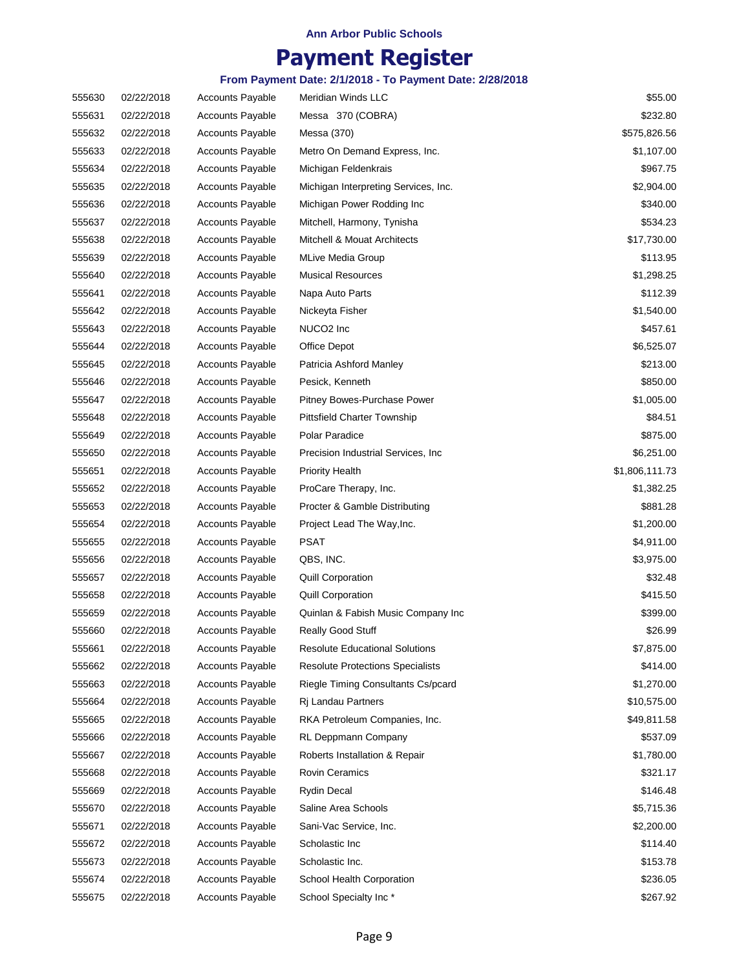## **Payment Register**

| 555630 | 02/22/2018 | <b>Accounts Payable</b> | Meridian Winds LLC                      | \$55.00        |
|--------|------------|-------------------------|-----------------------------------------|----------------|
| 555631 | 02/22/2018 | <b>Accounts Payable</b> | Messa 370 (COBRA)                       | \$232.80       |
| 555632 | 02/22/2018 | <b>Accounts Payable</b> | Messa (370)                             | \$575,826.56   |
| 555633 | 02/22/2018 | <b>Accounts Payable</b> | Metro On Demand Express, Inc.           | \$1,107.00     |
| 555634 | 02/22/2018 | <b>Accounts Payable</b> | Michigan Feldenkrais                    | \$967.75       |
| 555635 | 02/22/2018 | <b>Accounts Payable</b> | Michigan Interpreting Services, Inc.    | \$2,904.00     |
| 555636 | 02/22/2018 | <b>Accounts Payable</b> | Michigan Power Rodding Inc              | \$340.00       |
| 555637 | 02/22/2018 | <b>Accounts Payable</b> | Mitchell, Harmony, Tynisha              | \$534.23       |
| 555638 | 02/22/2018 | <b>Accounts Payable</b> | Mitchell & Mouat Architects             | \$17,730.00    |
| 555639 | 02/22/2018 | <b>Accounts Payable</b> | <b>MLive Media Group</b>                | \$113.95       |
| 555640 | 02/22/2018 | <b>Accounts Payable</b> | <b>Musical Resources</b>                | \$1,298.25     |
| 555641 | 02/22/2018 | <b>Accounts Payable</b> | Napa Auto Parts                         | \$112.39       |
| 555642 | 02/22/2018 | <b>Accounts Payable</b> | Nickeyta Fisher                         | \$1,540.00     |
| 555643 | 02/22/2018 | <b>Accounts Payable</b> | NUCO <sub>2</sub> Inc                   | \$457.61       |
| 555644 | 02/22/2018 | <b>Accounts Payable</b> | Office Depot                            | \$6,525.07     |
| 555645 | 02/22/2018 | <b>Accounts Payable</b> | Patricia Ashford Manley                 | \$213.00       |
| 555646 | 02/22/2018 | <b>Accounts Payable</b> | Pesick, Kenneth                         | \$850.00       |
| 555647 | 02/22/2018 | <b>Accounts Payable</b> | Pitney Bowes-Purchase Power             | \$1,005.00     |
| 555648 | 02/22/2018 | <b>Accounts Payable</b> | Pittsfield Charter Township             | \$84.51        |
| 555649 | 02/22/2018 | <b>Accounts Payable</b> | Polar Paradice                          | \$875.00       |
| 555650 | 02/22/2018 | <b>Accounts Payable</b> | Precision Industrial Services, Inc.     | \$6,251.00     |
| 555651 | 02/22/2018 | <b>Accounts Payable</b> | <b>Priority Health</b>                  | \$1,806,111.73 |
| 555652 | 02/22/2018 | <b>Accounts Payable</b> | ProCare Therapy, Inc.                   | \$1,382.25     |
| 555653 | 02/22/2018 | <b>Accounts Payable</b> | Procter & Gamble Distributing           | \$881.28       |
| 555654 | 02/22/2018 | <b>Accounts Payable</b> | Project Lead The Way, Inc.              | \$1,200.00     |
| 555655 | 02/22/2018 | <b>Accounts Payable</b> | <b>PSAT</b>                             | \$4,911.00     |
| 555656 | 02/22/2018 | <b>Accounts Payable</b> | QBS, INC.                               | \$3,975.00     |
| 555657 | 02/22/2018 | <b>Accounts Payable</b> | Quill Corporation                       | \$32.48        |
| 555658 | 02/22/2018 | <b>Accounts Payable</b> | <b>Quill Corporation</b>                | \$415.50       |
| 555659 | 02/22/2018 | <b>Accounts Payable</b> | Quinlan & Fabish Music Company Inc      | \$399.00       |
| 555660 | 02/22/2018 | <b>Accounts Payable</b> | Really Good Stuff                       | \$26.99        |
| 555661 | 02/22/2018 | <b>Accounts Payable</b> | <b>Resolute Educational Solutions</b>   | \$7,875.00     |
| 555662 | 02/22/2018 | <b>Accounts Payable</b> | <b>Resolute Protections Specialists</b> | \$414.00       |
| 555663 | 02/22/2018 | <b>Accounts Payable</b> | Riegle Timing Consultants Cs/pcard      | \$1,270.00     |
| 555664 | 02/22/2018 | <b>Accounts Payable</b> | Rj Landau Partners                      | \$10,575.00    |
| 555665 | 02/22/2018 | <b>Accounts Payable</b> | RKA Petroleum Companies, Inc.           | \$49,811.58    |
| 555666 | 02/22/2018 | Accounts Payable        | RL Deppmann Company                     | \$537.09       |
| 555667 | 02/22/2018 | <b>Accounts Payable</b> | Roberts Installation & Repair           | \$1,780.00     |
| 555668 | 02/22/2018 | <b>Accounts Payable</b> | <b>Rovin Ceramics</b>                   | \$321.17       |
| 555669 | 02/22/2018 | <b>Accounts Payable</b> | <b>Rydin Decal</b>                      | \$146.48       |
| 555670 | 02/22/2018 | <b>Accounts Payable</b> | Saline Area Schools                     | \$5,715.36     |
| 555671 | 02/22/2018 | <b>Accounts Payable</b> | Sani-Vac Service, Inc.                  | \$2,200.00     |
| 555672 | 02/22/2018 | <b>Accounts Payable</b> | Scholastic Inc                          | \$114.40       |
| 555673 | 02/22/2018 | <b>Accounts Payable</b> | Scholastic Inc.                         | \$153.78       |
| 555674 | 02/22/2018 | <b>Accounts Payable</b> | School Health Corporation               | \$236.05       |
| 555675 | 02/22/2018 | <b>Accounts Payable</b> | School Specialty Inc*                   | \$267.92       |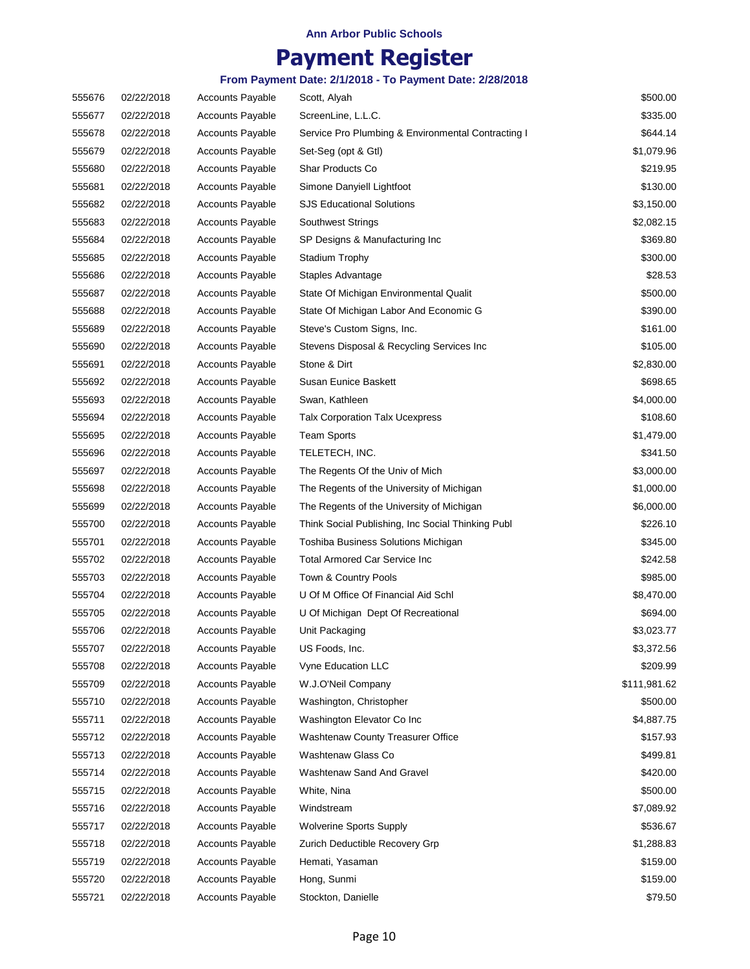## **Payment Register**

| 555676 | 02/22/2018 | <b>Accounts Payable</b> | Scott, Alyah                                       | \$500.00     |
|--------|------------|-------------------------|----------------------------------------------------|--------------|
| 555677 | 02/22/2018 | <b>Accounts Payable</b> | ScreenLine, L.L.C.                                 | \$335.00     |
| 555678 | 02/22/2018 | <b>Accounts Payable</b> | Service Pro Plumbing & Environmental Contracting I | \$644.14     |
| 555679 | 02/22/2018 | <b>Accounts Payable</b> | Set-Seg (opt & Gtl)                                | \$1,079.96   |
| 555680 | 02/22/2018 | <b>Accounts Payable</b> | Shar Products Co                                   | \$219.95     |
| 555681 | 02/22/2018 | <b>Accounts Payable</b> | Simone Danyiell Lightfoot                          | \$130.00     |
| 555682 | 02/22/2018 | <b>Accounts Payable</b> | SJS Educational Solutions                          | \$3,150.00   |
| 555683 | 02/22/2018 | <b>Accounts Payable</b> | <b>Southwest Strings</b>                           | \$2,082.15   |
| 555684 | 02/22/2018 | <b>Accounts Payable</b> | SP Designs & Manufacturing Inc                     | \$369.80     |
| 555685 | 02/22/2018 | <b>Accounts Payable</b> | <b>Stadium Trophy</b>                              | \$300.00     |
| 555686 | 02/22/2018 | <b>Accounts Payable</b> | Staples Advantage                                  | \$28.53      |
| 555687 | 02/22/2018 | <b>Accounts Payable</b> | State Of Michigan Environmental Qualit             | \$500.00     |
| 555688 | 02/22/2018 | Accounts Payable        | State Of Michigan Labor And Economic G             | \$390.00     |
| 555689 | 02/22/2018 | <b>Accounts Payable</b> | Steve's Custom Signs, Inc.                         | \$161.00     |
| 555690 | 02/22/2018 | <b>Accounts Payable</b> | Stevens Disposal & Recycling Services Inc          | \$105.00     |
| 555691 | 02/22/2018 | <b>Accounts Payable</b> | Stone & Dirt                                       | \$2,830.00   |
| 555692 | 02/22/2018 | <b>Accounts Payable</b> | Susan Eunice Baskett                               | \$698.65     |
| 555693 | 02/22/2018 | <b>Accounts Payable</b> | Swan, Kathleen                                     | \$4,000.00   |
| 555694 | 02/22/2018 | <b>Accounts Payable</b> | <b>Talx Corporation Talx Ucexpress</b>             | \$108.60     |
| 555695 | 02/22/2018 | <b>Accounts Payable</b> | <b>Team Sports</b>                                 | \$1,479.00   |
| 555696 | 02/22/2018 | <b>Accounts Payable</b> | TELETECH, INC.                                     | \$341.50     |
| 555697 | 02/22/2018 | <b>Accounts Payable</b> | The Regents Of the Univ of Mich                    | \$3,000.00   |
| 555698 | 02/22/2018 | <b>Accounts Payable</b> | The Regents of the University of Michigan          | \$1,000.00   |
| 555699 | 02/22/2018 | <b>Accounts Payable</b> | The Regents of the University of Michigan          | \$6,000.00   |
| 555700 | 02/22/2018 | <b>Accounts Payable</b> | Think Social Publishing, Inc Social Thinking Publ  | \$226.10     |
| 555701 | 02/22/2018 | <b>Accounts Payable</b> | Toshiba Business Solutions Michigan                | \$345.00     |
| 555702 | 02/22/2018 | <b>Accounts Payable</b> | <b>Total Armored Car Service Inc</b>               | \$242.58     |
| 555703 | 02/22/2018 | <b>Accounts Payable</b> | Town & Country Pools                               | \$985.00     |
| 555704 | 02/22/2018 | <b>Accounts Payable</b> | U Of M Office Of Financial Aid Schl                | \$8,470.00   |
| 555705 | 02/22/2018 | <b>Accounts Payable</b> | U Of Michigan Dept Of Recreational                 | \$694.00     |
| 555706 | 02/22/2018 | <b>Accounts Payable</b> | Unit Packaging                                     | \$3,023.77   |
| 555707 | 02/22/2018 | <b>Accounts Payable</b> | US Foods, Inc.                                     | \$3,372.56   |
| 555708 | 02/22/2018 | <b>Accounts Payable</b> | Vyne Education LLC                                 | \$209.99     |
| 555709 | 02/22/2018 | <b>Accounts Payable</b> | W.J.O'Neil Company                                 | \$111,981.62 |
| 555710 | 02/22/2018 | <b>Accounts Payable</b> | Washington, Christopher                            | \$500.00     |
| 555711 | 02/22/2018 | <b>Accounts Payable</b> | Washington Elevator Co Inc                         | \$4,887.75   |
| 555712 | 02/22/2018 | <b>Accounts Payable</b> | Washtenaw County Treasurer Office                  | \$157.93     |
| 555713 | 02/22/2018 | <b>Accounts Payable</b> | Washtenaw Glass Co                                 | \$499.81     |
| 555714 | 02/22/2018 | <b>Accounts Payable</b> | Washtenaw Sand And Gravel                          | \$420.00     |
| 555715 | 02/22/2018 | <b>Accounts Payable</b> | White, Nina                                        | \$500.00     |
| 555716 | 02/22/2018 | <b>Accounts Payable</b> | Windstream                                         | \$7,089.92   |
| 555717 | 02/22/2018 | <b>Accounts Payable</b> | <b>Wolverine Sports Supply</b>                     | \$536.67     |
| 555718 | 02/22/2018 | <b>Accounts Payable</b> | Zurich Deductible Recovery Grp                     | \$1,288.83   |
| 555719 | 02/22/2018 | <b>Accounts Payable</b> | Hemati, Yasaman                                    | \$159.00     |
| 555720 | 02/22/2018 | <b>Accounts Payable</b> | Hong, Sunmi                                        | \$159.00     |
| 555721 | 02/22/2018 | Accounts Payable        | Stockton, Danielle                                 | \$79.50      |